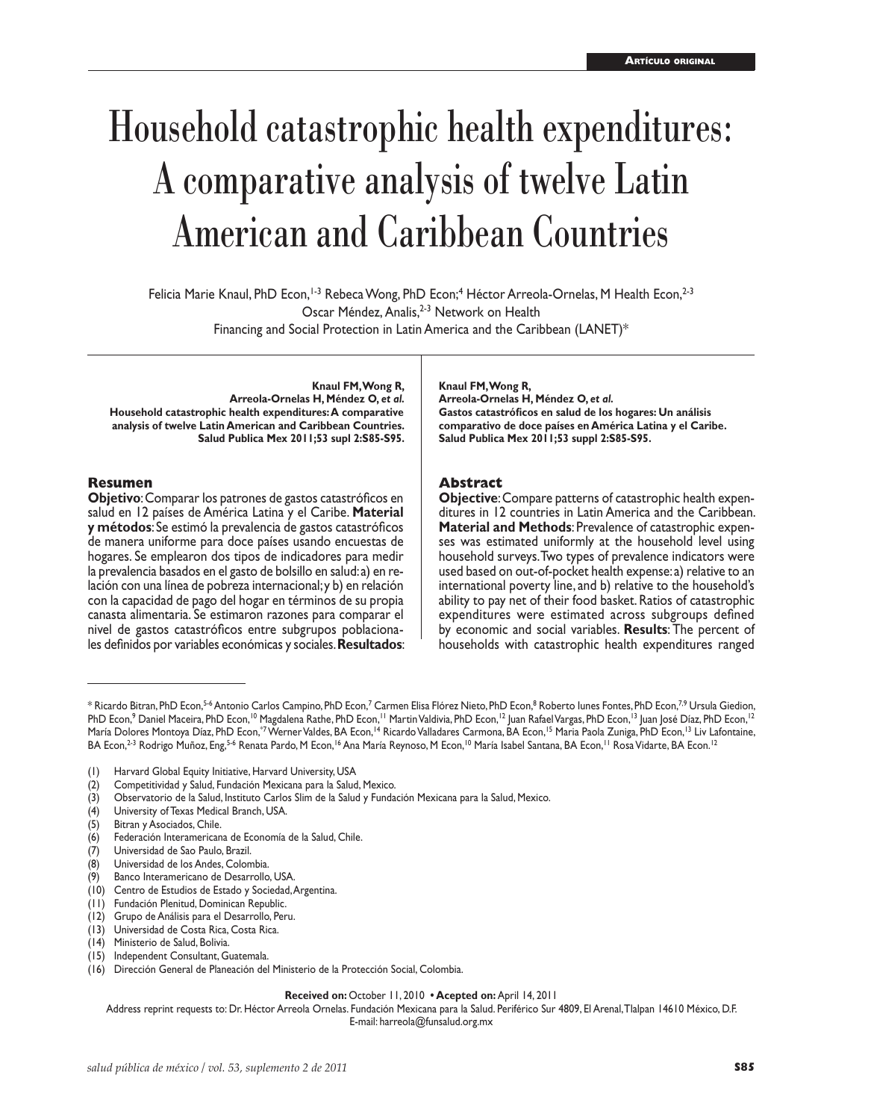# Household catastrophic health expenditures: A comparative analysis of twelve Latin American and Caribbean Countries

Felicia Marie Knaul, PhD Econ,<sup>1-3</sup> Rebeca Wong, PhD Econ;<sup>4</sup> Héctor Arreola-Ornelas, M Health Econ,<sup>2-3</sup> Oscar Méndez, Analis,<sup>2-3</sup> Network on Health Financing and Social Protection in Latin America and the Caribbean (LANET)\*

**Knaul FM, Wong R, Arreola-Ornelas H, Méndez O,** *et al.* **Household catastrophic health expenditures: A comparative analysis of twelve Latin American and Caribbean Countries. Salud Publica Mex 2011;53 supl 2:S85-S95.**

#### **Resumen**

**Objetivo**: Comparar los patrones de gastos catastróficos en salud en 12 países de América Latina y el Caribe. **Material y métodos**: Se estimó la prevalencia de gastos catastróficos de manera uniforme para doce países usando encuestas de hogares. Se emplearon dos tipos de indicadores para medir la prevalencia basados en el gasto de bolsillo en salud: a) en relación con una línea de pobreza internacional; y b) en relación con la capacidad de pago del hogar en términos de su propia canasta alimentaria. Se estimaron razones para comparar el nivel de gastos catastróficos entre subgrupos poblacionales definidos por variables económicas y sociales. **Resultados**: **Knaul FM, Wong R,**

**Arreola-Ornelas H, Méndez O,** *et al.* **Gastos catastróficos en salud de los hogares: Un análisis comparativo de doce países en América Latina y el Caribe. Salud Publica Mex 2011;53 suppl 2:S85-S95.**

### **Abstract**

**Objective**: Compare patterns of catastrophic health expenditures in 12 countries in Latin America and the Caribbean. **Material and Methods**: Prevalence of catastrophic expenses was estimated uniformly at the household level using household surveys. Two types of prevalence indicators were used based on out-of-pocket health expense: a) relative to an international poverty line, and b) relative to the household's ability to pay net of their food basket. Ratios of catastrophic expenditures were estimated across subgroups defined by economic and social variables. **Results**: The percent of households with catastrophic health expenditures ranged

- (10) Centro de Estudios de Estado y Sociedad, Argentina.
- (11) Fundación Plenitud, Dominican Republic.
- (12) Grupo de Análisis para el Desarrollo, Peru.

(16) Dirección General de Planeación del Ministerio de la Protección Social, Colombia.

#### **Received on:** October 11, 2010 **• Acepted on:** April 14, 2011

Address reprint requests to: Dr. Héctor Arreola Ornelas. Fundación Mexicana para la Salud. Periférico Sur 4809, El Arenal, Tlalpan 14610 México, D.F. E-mail: harreola@funsalud.org.mx

<sup>\*</sup> Ricardo Bitran, PhD Econ,<sup>5.6</sup> Antonio Carlos Campino, PhD Econ,<sup>7</sup> Carmen Elisa Flórez Nieto, PhD Econ,<sup>8</sup> Roberto Iunes Fontes, PhD Econ,<sup>7,9</sup> Ursula Giedion, PhD Econ,<sup>9</sup> Daniel Maceira, PhD Econ,<sup>10</sup> Magdalena Rathe, PhD Econ,<sup>11</sup> Martin Valdivia, PhD Econ,<sup>12</sup> Juan Rafael Vargas, PhD Econ,<sup>13</sup> Juan José Díaz, PhD Econ,<sup>12</sup> María Dolores Montoya Díaz, PhD Econ,\*7 Werner Valdes, BA Econ,<sup>14</sup> Ricardo Valladares Carmona, BA Econ,<sup>15</sup> Maria Paola Zuniga, PhD Econ,<sup>13</sup> Liv Lafontaine, BA Econ,<sup>2-3</sup> Rodrigo Muñoz, Eng,<sup>5-6</sup> Renata Pardo, M Econ,<sup>16</sup> Ana María Reynoso, M Econ,<sup>10</sup> María Isabel Santana, BA Econ,<sup>11</sup> Rosa Vidarte, BA Econ.<sup>12</sup>

<sup>(1)</sup> Harvard Global Equity Initiative, Harvard University, USA

<sup>(2)</sup> Competitividad y Salud, Fundación Mexicana para la Salud, Mexico.

<sup>(3)</sup> Observatorio de la Salud, Instituto Carlos Slim de la Salud y Fundación Mexicana para la Salud, Mexico.

<sup>(4)</sup> University of Texas Medical Branch, USA.

<sup>(5)</sup> Bitran y Asociados, Chile.

<sup>(6)</sup> Federación Interamericana de Economía de la Salud, Chile.

<sup>(7)</sup> Universidad de Sao Paulo, Brazil.

<sup>(8)</sup> Universidad de los Andes, Colombia.

<sup>(9)</sup> Banco Interamericano de Desarrollo, USA.

<sup>(13)</sup> Universidad de Costa Rica, Costa Rica.

<sup>(14)</sup> Ministerio de Salud, Bolivia.

<sup>(15)</sup> Independent Consultant, Guatemala.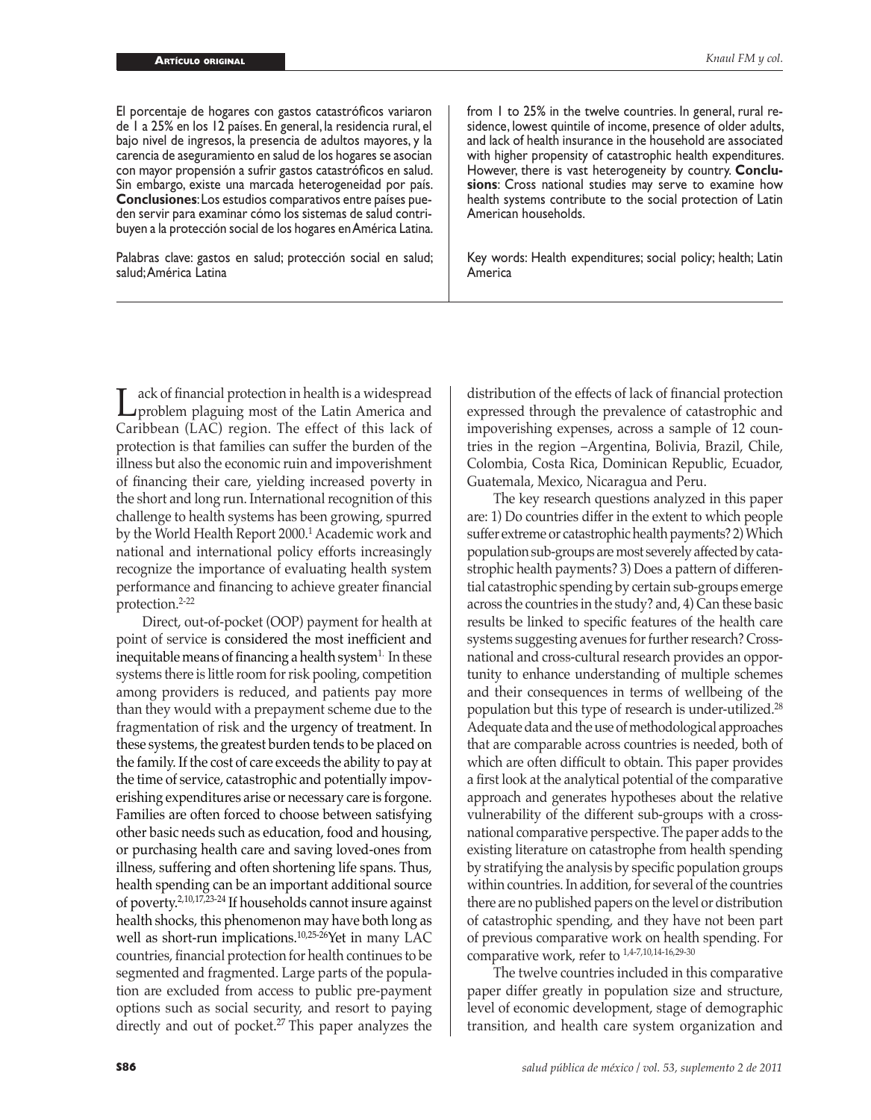El porcentaje de hogares con gastos catastróficos variaron de 1 a 25% en los 12 países. En general, la residencia rural, el bajo nivel de ingresos, la presencia de adultos mayores, y la carencia de aseguramiento en salud de los hogares se asocian con mayor propensión a sufrir gastos catastróficos en salud. Sin embargo, existe una marcada heterogeneidad por país. **Conclusiones**: Los estudios comparativos entre países pueden servir para examinar cómo los sistemas de salud contribuyen a la protección social de los hogares en América Latina.

Palabras clave: gastos en salud; protección social en salud; salud; América Latina

from 1 to 25% in the twelve countries. In general, rural residence, lowest quintile of income, presence of older adults, and lack of health insurance in the household are associated with higher propensity of catastrophic health expenditures. However, there is vast heterogeneity by country. **Conclusions**: Cross national studies may serve to examine how health systems contribute to the social protection of Latin American households.

Key words: Health expenditures; social policy; health; Latin America

Lack of financial protection in health is a widespread<br>problem plaguing most of the Latin America and<br>Caribbean (LAC) region. The effect of this lack of Caribbean (LAC) region. The effect of this lack of protection is that families can suffer the burden of the illness but also the economic ruin and impoverishment of financing their care, yielding increased poverty in the short and long run. International recognition of this challenge to health systems has been growing, spurred by the World Health Report 2000.<sup>1</sup> Academic work and national and international policy efforts increasingly recognize the importance of evaluating health system performance and financing to achieve greater financial protection.2-22

Direct, out-of-pocket (OOP) payment for health at point of service is considered the most inefficient and inequitable means of financing a health system<sup>1.</sup> In these systems there is little room for risk pooling, competition among providers is reduced, and patients pay more than they would with a prepayment scheme due to the fragmentation of risk and the urgency of treatment. In these systems, the greatest burden tends to be placed on the family. If the cost of care exceeds the ability to pay at the time of service, catastrophic and potentially impoverishing expenditures arise or necessary care is forgone. Families are often forced to choose between satisfying other basic needs such as education, food and housing, or purchasing health care and saving loved-ones from illness, suffering and often shortening life spans. Thus, health spending can be an important additional source of poverty.2,10,17,23-24 If households cannot insure against health shocks, this phenomenon may have both long as well as short-run implications.<sup>10,25-26</sup>Yet in many LAC countries, financial protection for health continues to be segmented and fragmented. Large parts of the population are excluded from access to public pre-payment options such as social security, and resort to paying directly and out of pocket. 27 This paper analyzes the

distribution of the effects of lack of financial protection expressed through the prevalence of catastrophic and impoverishing expenses, across a sample of 12 countries in the region –Argentina, Bolivia, Brazil, Chile, Colombia, Costa Rica, Dominican Republic, Ecuador, Guatemala, Mexico, Nicaragua and Peru.

The key research questions analyzed in this paper are: 1) Do countries differ in the extent to which people suffer extreme or catastrophic health payments? 2) Which population sub-groups are most severely affected by catastrophic health payments? 3) Does a pattern of differential catastrophic spending by certain sub-groups emerge across the countries in the study? and, 4) Can these basic results be linked to specific features of the health care systems suggesting avenues for further research? Crossnational and cross-cultural research provides an opportunity to enhance understanding of multiple schemes and their consequences in terms of wellbeing of the population but this type of research is under-utilized.28 Adequate data and the use of methodological approaches that are comparable across countries is needed, both of which are often difficult to obtain. This paper provides a first look at the analytical potential of the comparative approach and generates hypotheses about the relative vulnerability of the different sub-groups with a crossnational comparative perspective. The paper adds to the existing literature on catastrophe from health spending by stratifying the analysis by specific population groups within countries. In addition, for several of the countries there are no published papers on the level or distribution of catastrophic spending, and they have not been part of previous comparative work on health spending. For comparative work, refer to 1,4-7,10,14-16,29-30

The twelve countries included in this comparative paper differ greatly in population size and structure, level of economic development, stage of demographic transition, and health care system organization and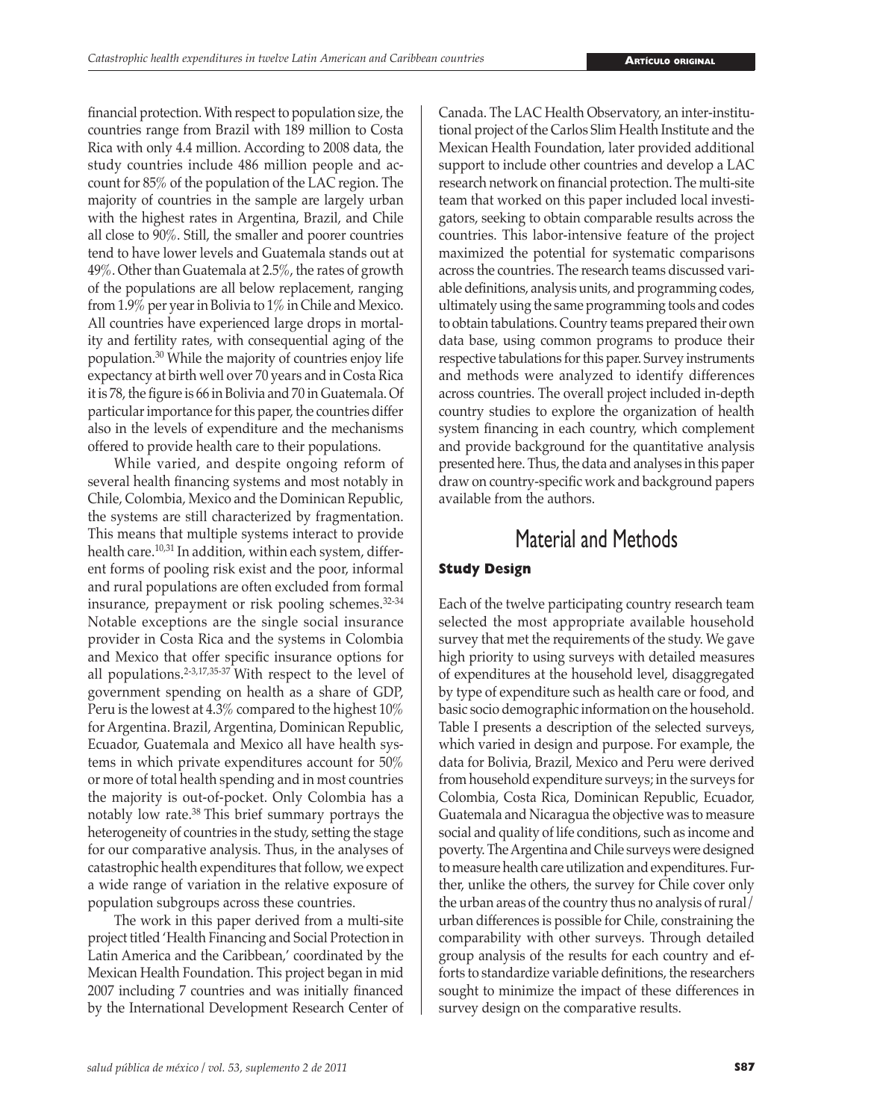financial protection. With respect to population size, the countries range from Brazil with 189 million to Costa Rica with only 4.4 million. According to 2008 data, the study countries include 486 million people and account for 85% of the population of the LAC region. The majority of countries in the sample are largely urban with the highest rates in Argentina, Brazil, and Chile all close to 90%. Still, the smaller and poorer countries tend to have lower levels and Guatemala stands out at 49%. Other than Guatemala at 2.5%, the rates of growth of the populations are all below replacement, ranging from 1.9% per year in Bolivia to 1% in Chile and Mexico. All countries have experienced large drops in mortality and fertility rates, with consequential aging of the population.<sup>30</sup> While the majority of countries enjoy life expectancy at birth well over 70 years and in Costa Rica it is 78, the figure is 66 in Bolivia and 70 in Guatemala. Of particular importance for this paper, the countries differ also in the levels of expenditure and the mechanisms offered to provide health care to their populations.

While varied, and despite ongoing reform of several health financing systems and most notably in Chile, Colombia, Mexico and the Dominican Republic, the systems are still characterized by fragmentation. This means that multiple systems interact to provide health care.<sup>10,31</sup> In addition, within each system, different forms of pooling risk exist and the poor, informal and rural populations are often excluded from formal insurance, prepayment or risk pooling schemes.32-34 Notable exceptions are the single social insurance provider in Costa Rica and the systems in Colombia and Mexico that offer specific insurance options for all populations.2-3,17,35-37 With respect to the level of government spending on health as a share of GDP, Peru is the lowest at 4.3% compared to the highest 10% for Argentina. Brazil, Argentina, Dominican Republic, Ecuador, Guatemala and Mexico all have health systems in which private expenditures account for 50% or more of total health spending and in most countries the majority is out-of-pocket. Only Colombia has a notably low rate.38 This brief summary portrays the heterogeneity of countries in the study, setting the stage for our comparative analysis. Thus, in the analyses of catastrophic health expenditures that follow, we expect a wide range of variation in the relative exposure of population subgroups across these countries.

The work in this paper derived from a multi-site project titled 'Health Financing and Social Protection in Latin America and the Caribbean,' coordinated by the Mexican Health Foundation. This project began in mid 2007 including 7 countries and was initially financed by the International Development Research Center of Canada. The LAC Health Observatory, an inter-institutional project of the Carlos Slim Health Institute and the Mexican Health Foundation, later provided additional support to include other countries and develop a LAC research network on financial protection. The multi-site team that worked on this paper included local investigators, seeking to obtain comparable results across the countries. This labor-intensive feature of the project maximized the potential for systematic comparisons across the countries. The research teams discussed variable definitions, analysis units, and programming codes, ultimately using the same programming tools and codes to obtain tabulations. Country teams prepared their own data base, using common programs to produce their respective tabulations for this paper. Survey instruments and methods were analyzed to identify differences across countries. The overall project included in-depth country studies to explore the organization of health system financing in each country, which complement and provide background for the quantitative analysis presented here. Thus, the data and analyses in this paper draw on country-specific work and background papers available from the authors.

## Material and Methods

### **Study Design**

Each of the twelve participating country research team selected the most appropriate available household survey that met the requirements of the study. We gave high priority to using surveys with detailed measures of expenditures at the household level, disaggregated by type of expenditure such as health care or food, and basic socio demographic information on the household. Table I presents a description of the selected surveys, which varied in design and purpose. For example, the data for Bolivia, Brazil, Mexico and Peru were derived from household expenditure surveys; in the surveys for Colombia, Costa Rica, Dominican Republic, Ecuador, Guatemala and Nicaragua the objective was to measure social and quality of life conditions, such as income and poverty. The Argentina and Chile surveys were designed to measure health care utilization and expenditures. Further, unlike the others, the survey for Chile cover only the urban areas of the country thus no analysis of rural/ urban differences is possible for Chile, constraining the comparability with other surveys. Through detailed group analysis of the results for each country and efforts to standardize variable definitions, the researchers sought to minimize the impact of these differences in survey design on the comparative results.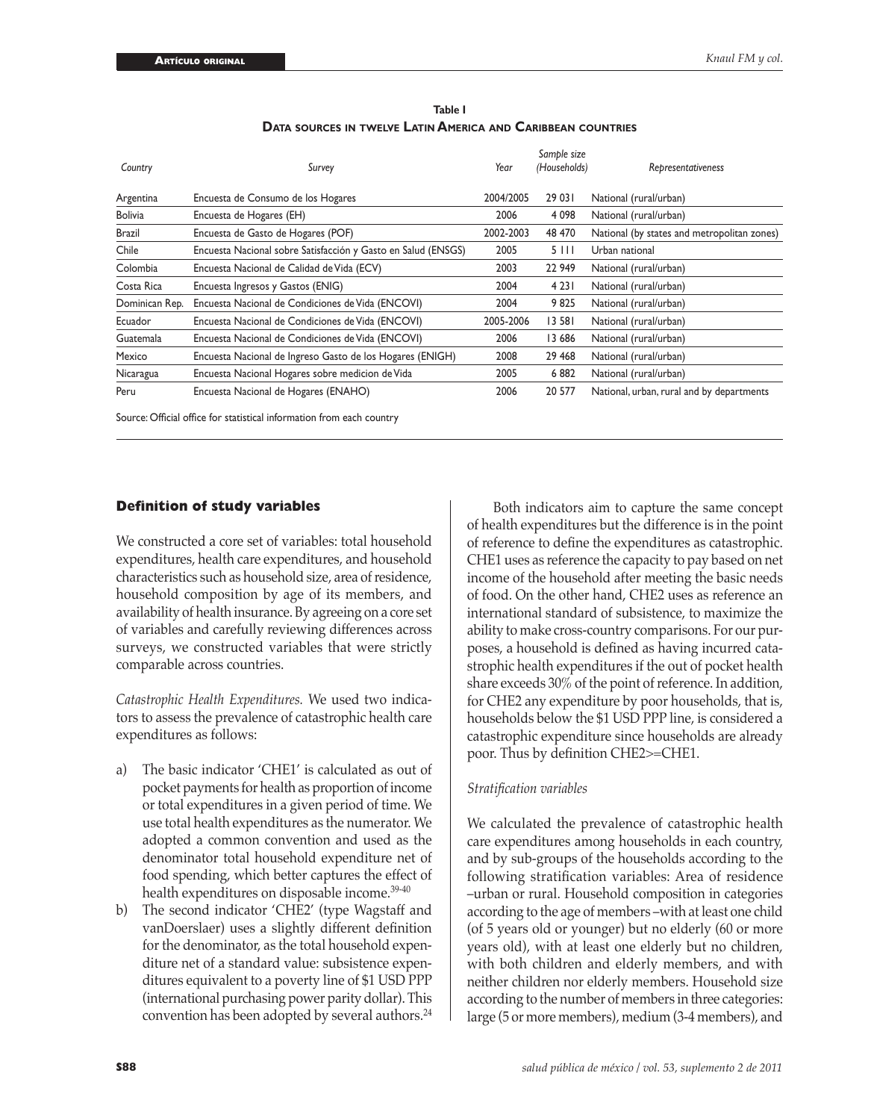| Country        | Survey                                                        | Year      | Sample size<br>(Households) | Representativeness                          |
|----------------|---------------------------------------------------------------|-----------|-----------------------------|---------------------------------------------|
| Argentina      | Encuesta de Consumo de los Hogares                            | 2004/2005 | 29 03 1                     | National (rural/urban)                      |
| <b>Bolivia</b> | Encuesta de Hogares (EH)                                      | 2006      | 4 0 9 8                     | National (rural/urban)                      |
| Brazil         | Encuesta de Gasto de Hogares (POF)                            | 2002-2003 | 48 470                      | National (by states and metropolitan zones) |
| Chile          | Encuesta Nacional sobre Satisfacción y Gasto en Salud (ENSGS) | 2005      | 5111                        | Urban national                              |
| Colombia       | Encuesta Nacional de Calidad de Vida (ECV)                    | 2003      | 22 949                      | National (rural/urban)                      |
| Costa Rica     | Encuesta Ingresos y Gastos (ENIG)                             | 2004      | 4 2 3 1                     | National (rural/urban)                      |
| Dominican Rep. | Encuesta Nacional de Condiciones de Vida (ENCOVI)             | 2004      | 9825                        | National (rural/urban)                      |
| Ecuador        | Encuesta Nacional de Condiciones de Vida (ENCOVI)             | 2005-2006 | 13 581                      | National (rural/urban)                      |
| Guatemala      | Encuesta Nacional de Condiciones de Vida (ENCOVI)             | 2006      | 13 686                      | National (rural/urban)                      |
| Mexico         | Encuesta Nacional de Ingreso Gasto de los Hogares (ENIGH)     | 2008      | 29 4 68                     | National (rural/urban)                      |
| Nicaragua      | Encuesta Nacional Hogares sobre medicion de Vida              | 2005      | 6882                        | National (rural/urban)                      |
| Peru           | Encuesta Nacional de Hogares (ENAHO)                          | 2006      | 20 577                      | National, urban, rural and by departments   |

| Table I                                                             |
|---------------------------------------------------------------------|
| <b>DATA SOURCES IN TWELVE LATIN AMERICA AND CARIBBEAN COUNTRIES</b> |

Source: Official office for statistical information from each country

### **Definition of study variables**

We constructed a core set of variables: total household expenditures, health care expenditures, and household characteristics such as household size, area of residence, household composition by age of its members, and availability of health insurance. By agreeing on a core set of variables and carefully reviewing differences across surveys, we constructed variables that were strictly comparable across countries.

*Catastrophic Health Expenditures.* We used two indicators to assess the prevalence of catastrophic health care expenditures as follows:

- a) The basic indicator 'CHE1' is calculated as out of pocket payments for health as proportion of income or total expenditures in a given period of time. We use total health expenditures as the numerator. We adopted a common convention and used as the denominator total household expenditure net of food spending, which better captures the effect of health expenditures on disposable income.<sup>39-40</sup>
- b) The second indicator 'CHE2' (type Wagstaff and vanDoerslaer) uses a slightly different definition for the denominator, as the total household expenditure net of a standard value: subsistence expenditures equivalent to a poverty line of \$1 USD PPP (international purchasing power parity dollar). This convention has been adopted by several authors.<sup>24</sup>

Both indicators aim to capture the same concept of health expenditures but the difference is in the point of reference to define the expenditures as catastrophic. CHE1 uses as reference the capacity to pay based on net income of the household after meeting the basic needs of food. On the other hand, CHE2 uses as reference an international standard of subsistence, to maximize the ability to make cross-country comparisons. For our purposes, a household is defined as having incurred catastrophic health expenditures if the out of pocket health share exceeds 30% of the point of reference. In addition, for CHE2 any expenditure by poor households, that is, households below the \$1 USD PPP line, is considered a catastrophic expenditure since households are already poor. Thus by definition CHE2>=CHE1.

### *Stratification variables*

We calculated the prevalence of catastrophic health care expenditures among households in each country, and by sub-groups of the households according to the following stratification variables: Area of residence –urban or rural. Household composition in categories according to the age of members –with at least one child (of 5 years old or younger) but no elderly (60 or more years old), with at least one elderly but no children, with both children and elderly members, and with neither children nor elderly members. Household size according to the number of members in three categories: large (5 or more members), medium (3-4 members), and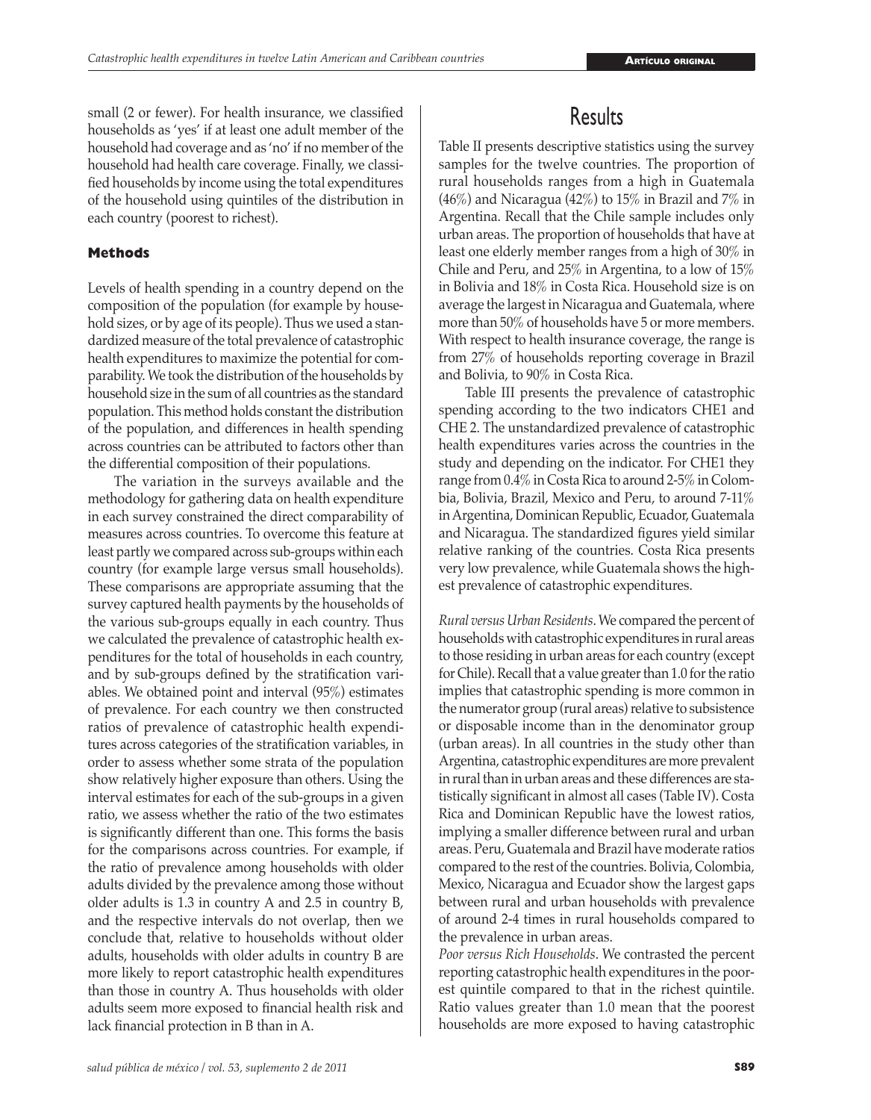small (2 or fewer). For health insurance, we classified households as 'yes' if at least one adult member of the household had coverage and as 'no' if no member of the household had health care coverage. Finally, we classified households by income using the total expenditures of the household using quintiles of the distribution in each country (poorest to richest).

### **Methods**

Levels of health spending in a country depend on the composition of the population (for example by household sizes, or by age of its people). Thus we used a standardized measure of the total prevalence of catastrophic health expenditures to maximize the potential for comparability. We took the distribution of the households by household size in the sum of all countries as the standard population. This method holds constant the distribution of the population, and differences in health spending across countries can be attributed to factors other than the differential composition of their populations.

The variation in the surveys available and the methodology for gathering data on health expenditure in each survey constrained the direct comparability of measures across countries. To overcome this feature at least partly we compared across sub-groups within each country (for example large versus small households). These comparisons are appropriate assuming that the survey captured health payments by the households of the various sub-groups equally in each country. Thus we calculated the prevalence of catastrophic health expenditures for the total of households in each country, and by sub-groups defined by the stratification variables. We obtained point and interval (95%) estimates of prevalence. For each country we then constructed ratios of prevalence of catastrophic health expenditures across categories of the stratification variables, in order to assess whether some strata of the population show relatively higher exposure than others. Using the interval estimates for each of the sub-groups in a given ratio, we assess whether the ratio of the two estimates is significantly different than one. This forms the basis for the comparisons across countries. For example, if the ratio of prevalence among households with older adults divided by the prevalence among those without older adults is 1.3 in country A and 2.5 in country B, and the respective intervals do not overlap, then we conclude that, relative to households without older adults, households with older adults in country B are more likely to report catastrophic health expenditures than those in country A. Thus households with older adults seem more exposed to financial health risk and lack financial protection in B than in A.

# **Results**

Table II presents descriptive statistics using the survey samples for the twelve countries. The proportion of rural households ranges from a high in Guatemala (46%) and Nicaragua (42%) to 15% in Brazil and 7% in Argentina. Recall that the Chile sample includes only urban areas. The proportion of households that have at least one elderly member ranges from a high of 30% in Chile and Peru, and 25% in Argentina, to a low of 15% in Bolivia and 18% in Costa Rica. Household size is on average the largest in Nicaragua and Guatemala, where more than 50% of households have 5 or more members. With respect to health insurance coverage, the range is from 27% of households reporting coverage in Brazil and Bolivia, to 90% in Costa Rica.

Table III presents the prevalence of catastrophic spending according to the two indicators CHE1 and CHE 2. The unstandardized prevalence of catastrophic health expenditures varies across the countries in the study and depending on the indicator. For CHE1 they range from 0.4% in Costa Rica to around 2-5% in Colombia, Bolivia, Brazil, Mexico and Peru, to around 7-11% in Argentina, Dominican Republic, Ecuador, Guatemala and Nicaragua. The standardized figures yield similar relative ranking of the countries. Costa Rica presents very low prevalence, while Guatemala shows the highest prevalence of catastrophic expenditures.

*Rural versus Urban Residents*. We compared the percent of households with catastrophic expenditures in rural areas to those residing in urban areas for each country (except for Chile). Recall that a value greater than 1.0 for the ratio implies that catastrophic spending is more common in the numerator group (rural areas) relative to subsistence or disposable income than in the denominator group (urban areas). In all countries in the study other than Argentina, catastrophic expenditures are more prevalent in rural than in urban areas and these differences are statistically significant in almost all cases (Table IV). Costa Rica and Dominican Republic have the lowest ratios, implying a smaller difference between rural and urban areas. Peru, Guatemala and Brazil have moderate ratios compared to the rest of the countries. Bolivia, Colombia, Mexico, Nicaragua and Ecuador show the largest gaps between rural and urban households with prevalence of around 2-4 times in rural households compared to the prevalence in urban areas.

*Poor versus Rich Households*. We contrasted the percent reporting catastrophic health expenditures in the poorest quintile compared to that in the richest quintile. Ratio values greater than 1.0 mean that the poorest households are more exposed to having catastrophic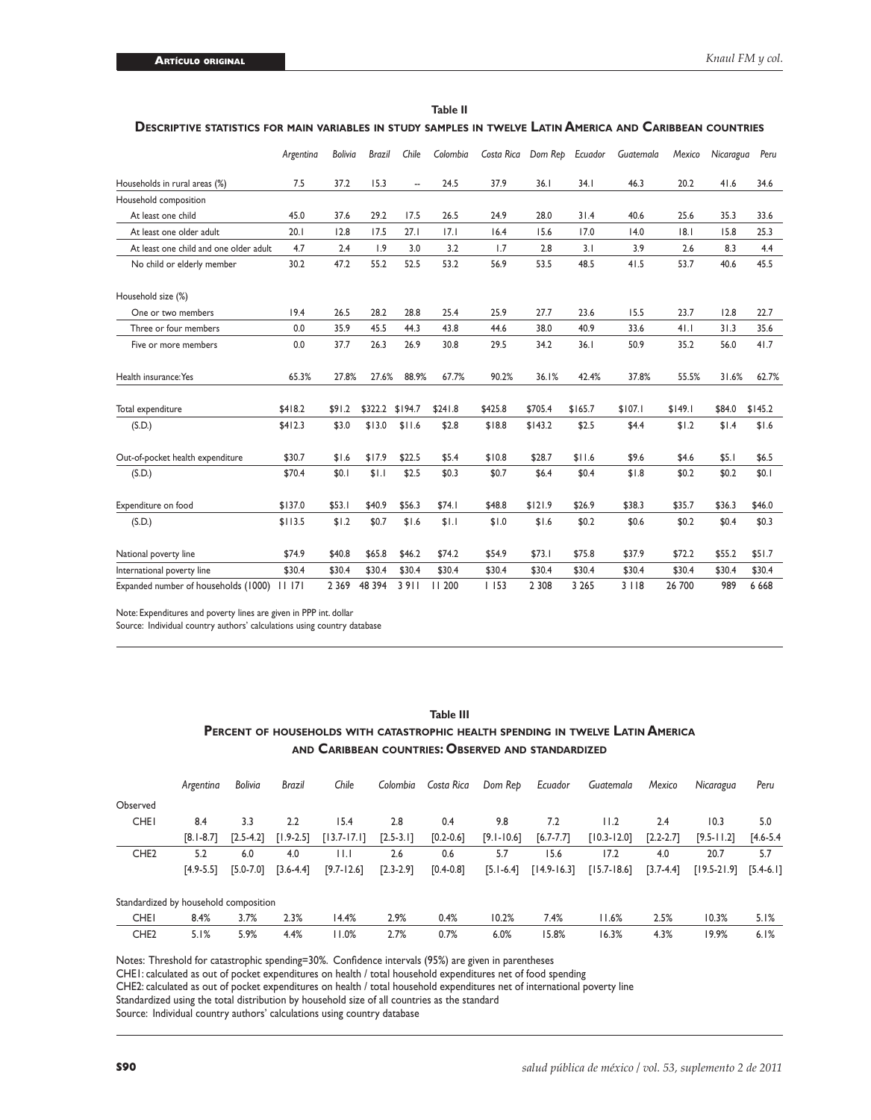|                                        | Argentina | <b>Bolivia</b> | <b>Brazil</b> | Chile          | Colombia | Costa Rica | Dom Rep | Ecuador | Guatemala | Mexico  | Nicaragua | Peru    |
|----------------------------------------|-----------|----------------|---------------|----------------|----------|------------|---------|---------|-----------|---------|-----------|---------|
| Households in rural areas (%)          | 7.5       | 37.2           | 15.3          | $\overline{a}$ | 24.5     | 37.9       | 36.1    | 34.1    | 46.3      | 20.2    | 41.6      | 34.6    |
| Household composition                  |           |                |               |                |          |            |         |         |           |         |           |         |
| At least one child                     | 45.0      | 37.6           | 29.2          | 17.5           | 26.5     | 24.9       | 28.0    | 31.4    | 40.6      | 25.6    | 35.3      | 33.6    |
| At least one older adult               | 20.1      | 12.8           | 17.5          | 27.1           | 7.1      | 16.4       | 15.6    | 17.0    | 14.0      | 8.      | 15.8      | 25.3    |
| At least one child and one older adult | 4.7       | 2.4            | 1.9           | 3.0            | 3.2      | 1.7        | 2.8     | 3.1     | 3.9       | 2.6     | 8.3       | 4.4     |
| No child or elderly member             | 30.2      | 47.2           | 55.2          | 52.5           | 53.2     | 56.9       | 53.5    | 48.5    | 41.5      | 53.7    | 40.6      | 45.5    |
| Household size (%)                     |           |                |               |                |          |            |         |         |           |         |           |         |
| One or two members                     | 19.4      | 26.5           | 28.2          | 28.8           | 25.4     | 25.9       | 27.7    | 23.6    | 15.5      | 23.7    | 12.8      | 22.7    |
| Three or four members                  | 0.0       | 35.9           | 45.5          | 44.3           | 43.8     | 44.6       | 38.0    | 40.9    | 33.6      | 41.1    | 31.3      | 35.6    |
| Five or more members                   | 0.0       | 37.7           | 26.3          | 26.9           | 30.8     | 29.5       | 34.2    | 36.1    | 50.9      | 35.2    | 56.0      | 41.7    |
| Health insurance: Yes                  | 65.3%     | 27.8%          | 27.6%         | 88.9%          | 67.7%    | 90.2%      | 36.1%   | 42.4%   | 37.8%     | 55.5%   | 31.6%     | 62.7%   |
| Total expenditure                      | \$418.2   | \$91.2         | \$322.2       | \$194.7        | \$241.8  | \$425.8    | \$705.4 | \$165.7 | \$107.1   | \$149.1 | \$84.0    | \$145.2 |
| (S.D.)                                 | \$412.3   | \$3.0          | \$13.0        | \$11.6         | \$2.8    | \$18.8     | \$143.2 | \$2.5   | \$4.4     | \$1.2   | \$1.4     | \$1.6   |
| Out-of-pocket health expenditure       | \$30.7    | \$1.6          | \$17.9        | \$22.5         | \$5.4    | \$10.8     | \$28.7  | \$11.6  | \$9.6     | \$4.6   | \$5.1     | \$6.5   |
| (S.D.)                                 | \$70.4    | \$0.1          | \$1.1         | \$2.5          | \$0.3    | \$0.7      | \$6.4   | \$0.4   | \$1.8     | \$0.2   | \$0.2     | \$0.1   |
| Expenditure on food                    | \$137.0   | \$53.1         | \$40.9        | \$56.3         | \$74.1   | \$48.8     | \$121.9 | \$26.9  | \$38.3    | \$35.7  | \$36.3    | \$46.0  |
| (S.D.)                                 | \$113.5   | \$1.2          | \$0.7         | \$1.6          | \$1.1    | \$1.0      | \$1.6   | \$0.2   | \$0.6     | \$0.2   | \$0.4     | \$0.3   |
| National poverty line                  | \$74.9    | \$40.8         | \$65.8        | \$46.2         | \$74.2   | \$54.9     | \$73.1  | \$75.8  | \$37.9    | \$72.2  | \$55.2    | \$51.7  |
| International poverty line             | \$30.4    | \$30.4         | \$30.4        | \$30.4         | \$30.4   | \$30.4     | \$30.4  | \$30.4  | \$30.4    | \$30.4  | \$30.4    | \$30.4  |
| Expanded number of households (1000)   | 11171     | 2 3 6 9        | 48 394        | 3911           | 11 200   | 1153       | 2 3 0 8 | 3 2 6 5 | 3118      | 26 700  | 989       | 6 6 6 8 |

| . |  |
|---|--|

### **Descriptive statistics for main variables in study samples in twelve Latin America and Caribbean countries**

Note: Expenditures and poverty lines are given in PPP int. dollar

Source: Individual country authors' calculations using country database

### **Table III Percent of households with catastrophic health spending in twelve Latin America and Caribbean countries: Observed and standardized**

|                                       | Argentina     | <b>Bolivia</b> | Brazil        | Chile                   | Colombia      | Costa Rica    | Dom Rep        | Ecuador         | Guatemala       | Mexico        | Nicaragua       | Peru          |
|---------------------------------------|---------------|----------------|---------------|-------------------------|---------------|---------------|----------------|-----------------|-----------------|---------------|-----------------|---------------|
| Observed                              |               |                |               |                         |               |               |                |                 |                 |               |                 |               |
| <b>CHEI</b>                           | 8.4           | 3.3            | 2.2           | 15.4                    | 2.8           | 0.4           | 9.8            | 7.2             | I I.2           | 2.4           | 10.3            | 5.0           |
|                                       | $[8.1 - 8.7]$ | $[2.5 - 4.2]$  | $[1.9-2.5]$   | $[13.7 - 17.1]$         | $[2.5 - 3.1]$ | $[0.2 - 0.6]$ | $[9.1 - 10.6]$ | $[6.7 - 7.7]$   | $[10.3 - 12.0]$ | $[2.2 - 2.7]$ | $[9.5 - 11.2]$  | $[4.6 - 5.4]$ |
| CHE <sub>2</sub>                      | 5.2           | 6.0            | 4.0           | $\mathsf{H}.\mathsf{I}$ | 2.6           | 0.6           | 5.7            | 15.6            | 17.2            | 4.0           | 20.7            | 5.7           |
|                                       | $[4.9 - 5.5]$ | $[5.0 - 7.0]$  | $[3.6 - 4.4]$ | $[9.7 - 12.6]$          | $[2.3 - 2.9]$ | $[0.4 - 0.8]$ | $[5.1 - 6.4]$  | $[14.9 - 16.3]$ | $[15.7 - 18.6]$ | $[3.7 - 4.4]$ | $[19.5 - 21.9]$ | $[5.4-6.1]$   |
| Standardized by household composition |               |                |               |                         |               |               |                |                 |                 |               |                 |               |
| <b>CHEI</b>                           | 8.4%          | 3.7%           | 2.3%          | 14.4%                   | 2.9%          | 0.4%          | 10.2%          | 7.4%            | 11.6%           | 2.5%          | 10.3%           | 5.1%          |
| CHE <sub>2</sub>                      | 5.1%          | 5.9%           | 4.4%          | 11.0%                   | 2.7%          | 0.7%          | 6.0%           | 15.8%           | 16.3%           | 4.3%          | 19.9%           | 6.1%          |

Notes: Threshold for catastrophic spending=30%. Confidence intervals (95%) are given in parentheses CHE1: calculated as out of pocket expenditures on health / total household expenditures net of food spending CHE2: calculated as out of pocket expenditures on health / total household expenditures net of international poverty line Standardized using the total distribution by household size of all countries as the standard Source: Individual country authors' calculations using country database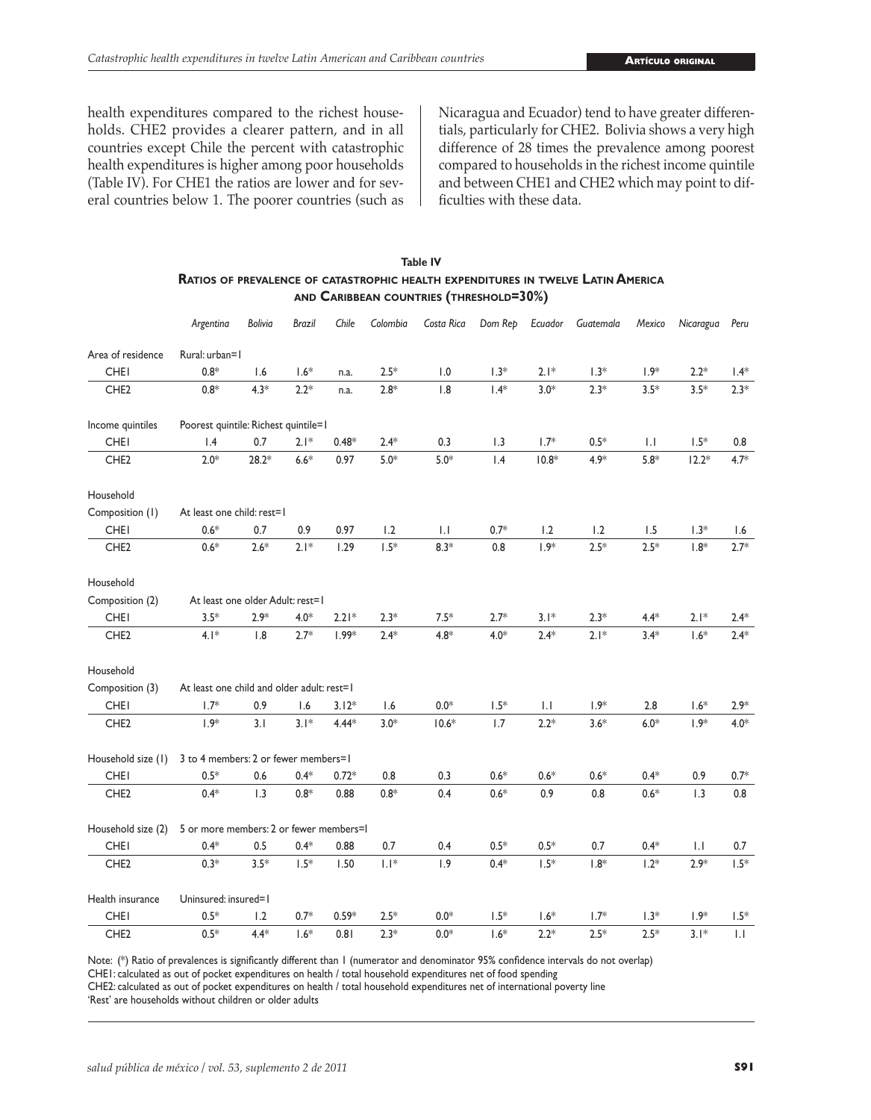health expenditures compared to the richest households. CHE2 provides a clearer pattern, and in all countries except Chile the percent with catastrophic health expenditures is higher among poor households (Table IV). For CHE1 the ratios are lower and for several countries below 1. The poorer countries (such as

Nicaragua and Ecuador) tend to have greater differentials, particularly for CHE2. Bolivia shows a very high difference of 28 times the prevalence among poorest compared to households in the richest income quintile and between CHE1 and CHE2 which may point to difficulties with these data.

### **Table IV Ratios of prevalence of catastrophic health expenditures in twelve Latin America and Caribbean countries (threshold=30%)**

|                    | Argentina                                  | Bolivia | <b>Brazil</b> | Chile   | Colombia | Costa Rica | Dom Rep | Ecuador                | Guatemala | Mexico       | Nicaragua    | Peru         |
|--------------------|--------------------------------------------|---------|---------------|---------|----------|------------|---------|------------------------|-----------|--------------|--------------|--------------|
| Area of residence  | Rural: urban=1                             |         |               |         |          |            |         |                        |           |              |              |              |
| <b>CHEI</b>        | $0.8*$                                     | 1.6     | $1.6^{\ast}$  | n.a.    | $2.5*$   | 1.0        | $1.3*$  | $2.1*$                 | $1.3*$    | $1.9*$       | $2.2*$       | $1.4*$       |
| CHE <sub>2</sub>   | $0.8*$                                     | $4.3*$  | $2.2*$        | n.a.    | $2.8*$   | 1.8        | $1.4*$  | $3.0*$                 | $2.3*$    | $3.5*$       | $3.5*$       | $2.3*$       |
| Income quintiles   | Poorest quintile: Richest quintile=1       |         |               |         |          |            |         |                        |           |              |              |              |
| <b>CHEI</b>        | 1.4                                        | 0.7     | $2.1*$        | $0.48*$ | $2.4*$   | 0.3        | 1.3     | $1.7*$                 | $0.5*$    | $\mathsf{L}$ | $1.5*$       | 0.8          |
| CHE <sub>2</sub>   | $2.0*$                                     | $28.2*$ | $6.6*$        | 0.97    | $5.0*$   | $5.0*$     | 1.4     | $10.8*$                | $4.9*$    | $5.8*$       | $12.2*$      | $4.7*$       |
| Household          |                                            |         |               |         |          |            |         |                        |           |              |              |              |
| Composition (1)    | At least one child: rest=1                 |         |               |         |          |            |         |                        |           |              |              |              |
| <b>CHEI</b>        | $0.6*$                                     | 0.7     | 0.9           | 0.97    | 1.2      | 1.1        | $0.7*$  | 1.2                    | 1.2       | 1.5          | $1.3*$       | 1.6          |
| CHE <sub>2</sub>   | $0.6*$                                     | $2.6*$  | $2.1*$        | 1.29    | $1.5*$   | $8.3*$     | 0.8     | $1.9*$                 | $2.5*$    | $2.5*$       | $1.8*$       | $2.7*$       |
| Household          |                                            |         |               |         |          |            |         |                        |           |              |              |              |
| Composition (2)    | At least one older Adult: rest=1           |         |               |         |          |            |         |                        |           |              |              |              |
| <b>CHEI</b>        | $3.5*$                                     | $2.9*$  | $4.0*$        | $2.21*$ | $2.3*$   | $7.5*$     | $2.7*$  | $3.1*$                 | $2.3*$    | $4.4*$       | $2.1*$       | $2.4*$       |
| CHE <sub>2</sub>   | $4.1*$                                     | 1.8     | $2.7*$        | $1.99*$ | $2.4*$   | $4.8*$     | $4.0*$  | $2.4*$                 | $2.1*$    | $3.4*$       | $1.6*$       | $2.4*$       |
| Household          |                                            |         |               |         |          |            |         |                        |           |              |              |              |
| Composition (3)    | At least one child and older adult: rest=1 |         |               |         |          |            |         |                        |           |              |              |              |
| <b>CHEI</b>        | $1.7*$                                     | 0.9     | 1.6           | $3.12*$ | 1.6      | $0.0*$     | $1.5*$  | $\mathsf{L}\mathsf{I}$ | $1.9*$    | 2.8          | $1.6*$       | $2.9*$       |
| CHE <sub>2</sub>   | $1.9*$                                     | 3.1     | $3.1*$        | $4.44*$ | $3.0*$   | $10.6*$    | 1.7     | $2.2*$                 | $3.6*$    | $6.0*$       | $1.9*$       | $4.0*$       |
| Household size (1) | 3 to 4 members: 2 or fewer members=1       |         |               |         |          |            |         |                        |           |              |              |              |
| <b>CHEI</b>        | $0.5*$                                     | 0.6     | $0.4*$        | $0.72*$ | 0.8      | 0.3        | $0.6*$  | $0.6*$                 | $0.6*$    | $0.4*$       | 0.9          | $0.7*$       |
| CHE <sub>2</sub>   | $0.4*$                                     | 1.3     | $0.8*$        | 0.88    | $0.8*$   | 0.4        | $0.6*$  | 0.9                    | 0.8       | $0.6*$       | 1.3          | 0.8          |
| Household size (2) | 5 or more members: 2 or fewer members=I    |         |               |         |          |            |         |                        |           |              |              |              |
| <b>CHEI</b>        | $0.4*$                                     | 0.5     | $0.4*$        | 0.88    | 0.7      | 0.4        | $0.5*$  | $0.5*$                 | 0.7       | $0.4*$       | $\mathsf{L}$ | 0.7          |
| CHE <sub>2</sub>   | $0.3*$                                     | $3.5*$  | $1.5*$        | 1.50    | $ . $ *  | 1.9        | $0.4*$  | $1.5*$                 | $1.8*$    | $1.2*$       | $2.9*$       | $1.5*$       |
| Health insurance   | Uninsured: insured=1                       |         |               |         |          |            |         |                        |           |              |              |              |
| <b>CHEI</b>        | $0.5*$                                     | 1.2     | $0.7*$        | $0.59*$ | $2.5*$   | $0.0*$     | $1.5*$  | $1.6*$                 | $1.7*$    | $1.3*$       | $1.9*$       | $1.5*$       |
| CHE <sub>2</sub>   | $0.5*$                                     | $4.4*$  | $1.6*$        | 0.81    | $2.3*$   | $0.0*$     | $1.6*$  | $2.2*$                 | $2.5*$    | $2.5*$       | $3.1*$       | $\mathsf{L}$ |

Note: (\*) Ratio of prevalences is significantly different than 1 (numerator and denominator 95% confidence intervals do not overlap)

CHE1: calculated as out of pocket expenditures on health / total household expenditures net of food spending

CHE2: calculated as out of pocket expenditures on health / total household expenditures net of international poverty line

'Rest' are households without children or older adults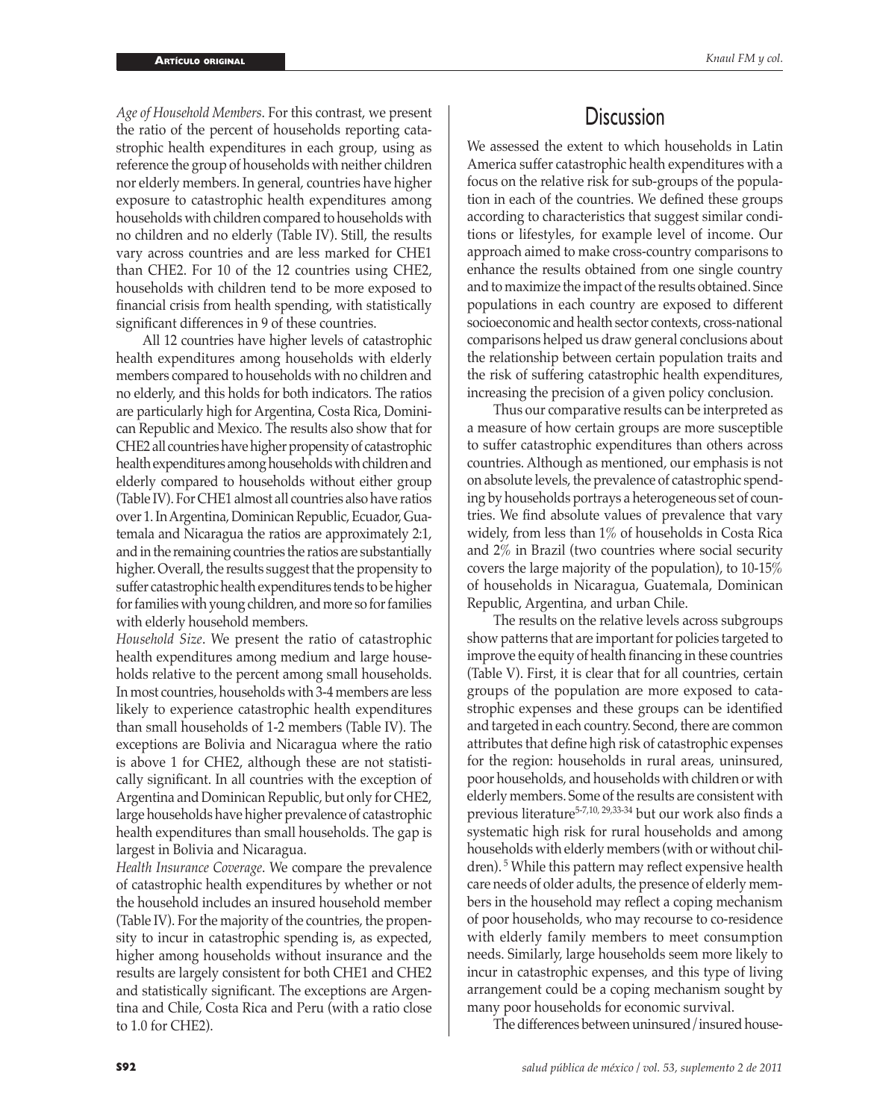*Age of Household Members*. For this contrast, we present the ratio of the percent of households reporting catastrophic health expenditures in each group, using as reference the group of households with neither children nor elderly members. In general, countries have higher exposure to catastrophic health expenditures among households with children compared to households with no children and no elderly (Table IV). Still, the results vary across countries and are less marked for CHE1 than CHE2. For 10 of the 12 countries using CHE2, households with children tend to be more exposed to financial crisis from health spending, with statistically significant differences in 9 of these countries.

All 12 countries have higher levels of catastrophic health expenditures among households with elderly members compared to households with no children and no elderly, and this holds for both indicators. The ratios are particularly high for Argentina, Costa Rica, Dominican Republic and Mexico. The results also show that for CHE2 all countries have higher propensity of catastrophic health expenditures among households with children and elderly compared to households without either group (Table IV). For CHE1 almost all countries also have ratios over 1. In Argentina, Dominican Republic, Ecuador, Guatemala and Nicaragua the ratios are approximately 2:1, and in the remaining countries the ratios are substantially higher. Overall, the results suggest that the propensity to suffer catastrophic health expenditures tends to be higher for families with young children, and more so for families with elderly household members.

*Household Size*. We present the ratio of catastrophic health expenditures among medium and large households relative to the percent among small households. In most countries, households with 3-4 members are less likely to experience catastrophic health expenditures than small households of 1-2 members (Table IV). The exceptions are Bolivia and Nicaragua where the ratio is above 1 for CHE2, although these are not statistically significant. In all countries with the exception of Argentina and Dominican Republic, but only for CHE2, large households have higher prevalence of catastrophic health expenditures than small households. The gap is largest in Bolivia and Nicaragua.

*Health Insurance Coverage*. We compare the prevalence of catastrophic health expenditures by whether or not the household includes an insured household member (Table IV). For the majority of the countries, the propensity to incur in catastrophic spending is, as expected, higher among households without insurance and the results are largely consistent for both CHE1 and CHE2 and statistically significant. The exceptions are Argentina and Chile, Costa Rica and Peru (with a ratio close to 1.0 for CHE2).

### **Discussion**

We assessed the extent to which households in Latin America suffer catastrophic health expenditures with a focus on the relative risk for sub-groups of the population in each of the countries. We defined these groups according to characteristics that suggest similar conditions or lifestyles, for example level of income. Our approach aimed to make cross-country comparisons to enhance the results obtained from one single country and to maximize the impact of the results obtained. Since populations in each country are exposed to different socioeconomic and health sector contexts, cross-national comparisons helped us draw general conclusions about the relationship between certain population traits and the risk of suffering catastrophic health expenditures, increasing the precision of a given policy conclusion.

Thus our comparative results can be interpreted as a measure of how certain groups are more susceptible to suffer catastrophic expenditures than others across countries. Although as mentioned, our emphasis is not on absolute levels, the prevalence of catastrophic spending by households portrays a heterogeneous set of countries. We find absolute values of prevalence that vary widely, from less than 1% of households in Costa Rica and 2% in Brazil (two countries where social security covers the large majority of the population), to 10-15% of households in Nicaragua, Guatemala, Dominican Republic, Argentina, and urban Chile.

The results on the relative levels across subgroups show patterns that are important for policies targeted to improve the equity of health financing in these countries (Table V). First, it is clear that for all countries, certain groups of the population are more exposed to catastrophic expenses and these groups can be identified and targeted in each country. Second, there are common attributes that define high risk of catastrophic expenses for the region: households in rural areas, uninsured, poor households, and households with children or with elderly members. Some of the results are consistent with previous literature5-7,10, 29,33-34 but our work also finds a systematic high risk for rural households and among households with elderly members (with or without children).<sup>5</sup> While this pattern may reflect expensive health care needs of older adults, the presence of elderly members in the household may reflect a coping mechanism of poor households, who may recourse to co-residence with elderly family members to meet consumption needs. Similarly, large households seem more likely to incur in catastrophic expenses, and this type of living arrangement could be a coping mechanism sought by many poor households for economic survival.

The differences between uninsured/insured house-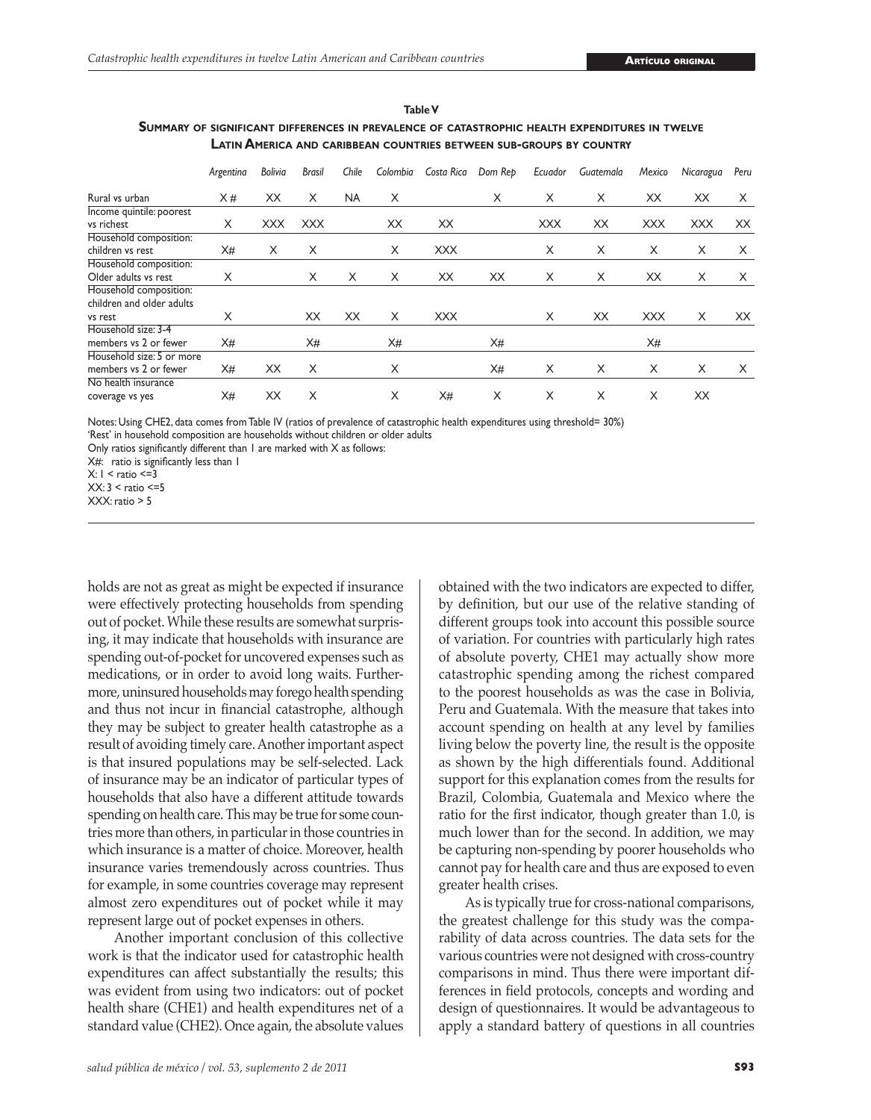|                           | Argentina | Bolivia    | <b>Brasil</b> | Chile     | Colombia | Costa Rica | Dom Rep | Ecuador    | Guatemala | Mexico     | Nicaragua  | Peru |
|---------------------------|-----------|------------|---------------|-----------|----------|------------|---------|------------|-----------|------------|------------|------|
| Rural vs urban            | X#        | XX         | X             | <b>NA</b> | X        |            | X       | X          | X         | XX         | ХX         | X    |
| Income quintile: poorest  |           |            |               |           |          |            |         |            |           |            |            |      |
| vs richest                | X         | <b>XXX</b> | <b>XXX</b>    |           | XX       | XX         |         | <b>XXX</b> | XX        | <b>XXX</b> | <b>XXX</b> | XX   |
| Household composition:    |           |            |               |           |          |            |         |            |           |            |            |      |
| children vs rest          | X#        | X          | X             |           | X        | <b>XXX</b> |         | X          | X         | X          | X          | X    |
| Household composition:    |           |            |               |           |          |            |         |            |           |            |            |      |
| Older adults vs rest      | X         |            | X             | X         | X        | XX         | XX      | X          | X         | XX         | X          | X    |
| Household composition:    |           |            |               |           |          |            |         |            |           |            |            |      |
| children and older adults |           |            |               |           |          |            |         |            |           |            |            |      |
| vs rest                   | X         |            | XX            | XX        | X        | <b>XXX</b> |         | X          | XX        | <b>XXX</b> | X          | XX   |
| Household size: 3-4       |           |            |               |           |          |            |         |            |           |            |            |      |
| members vs 2 or fewer     | X#        |            | X#            |           | X#       |            | X#      |            |           | X#         |            |      |
| Household size: 5 or more |           |            |               |           |          |            |         |            |           |            |            |      |
| members vs 2 or fewer     | X#        | XX         | X             |           | X        |            | X#      | X          | X         | X          | X          | X    |
| No health insurance       |           |            |               |           |          |            |         |            |           |            |            |      |
| coverage vs yes           | X#        | XX         | X             |           | X        | X#         | X       | X          | X         | X          | XX         |      |

**Table V Summary of significant differences in prevalence of catastrophic health expenditures in twelve Latin America and caribbean countries between sub-groups by country**

Notes: Using CHE2, data comes from Table IV (ratios of prevalence of catastrophic health expenditures using threshold= 30%)

'Rest' in household composition are households without children or older adults

Only ratios significantly different than 1 are marked with X as follows:

X#: ratio is significantly less than I

 $X: I <$  ratio  $\leq =3$ 

 $XX:3 <$  ratio  $\leq 5$ 

XXX: ratio > 5

holds are not as great as might be expected if insurance were effectively protecting households from spending out of pocket. While these results are somewhat surprising, it may indicate that households with insurance are spending out-of-pocket for uncovered expenses such as medications, or in order to avoid long waits. Furthermore, uninsured households may forego health spending and thus not incur in financial catastrophe, although they may be subject to greater health catastrophe as a result of avoiding timely care. Another important aspect is that insured populations may be self-selected. Lack of insurance may be an indicator of particular types of households that also have a different attitude towards spending on health care. This may be true for some countries more than others, in particular in those countries in which insurance is a matter of choice. Moreover, health insurance varies tremendously across countries. Thus for example, in some countries coverage may represent almost zero expenditures out of pocket while it may represent large out of pocket expenses in others.

Another important conclusion of this collective work is that the indicator used for catastrophic health expenditures can affect substantially the results; this was evident from using two indicators: out of pocket health share (CHE1) and health expenditures net of a standard value (CHE2). Once again, the absolute values

obtained with the two indicators are expected to differ, by definition, but our use of the relative standing of different groups took into account this possible source of variation. For countries with particularly high rates of absolute poverty, CHE1 may actually show more catastrophic spending among the richest compared to the poorest households as was the case in Bolivia, Peru and Guatemala. With the measure that takes into account spending on health at any level by families living below the poverty line, the result is the opposite as shown by the high differentials found. Additional support for this explanation comes from the results for Brazil, Colombia, Guatemala and Mexico where the ratio for the first indicator, though greater than 1.0, is much lower than for the second. In addition, we may be capturing non-spending by poorer households who cannot pay for health care and thus are exposed to even greater health crises.

As is typically true for cross-national comparisons, the greatest challenge for this study was the comparability of data across countries. The data sets for the various countries were not designed with cross-country comparisons in mind. Thus there were important differences in field protocols, concepts and wording and design of questionnaires. It would be advantageous to apply a standard battery of questions in all countries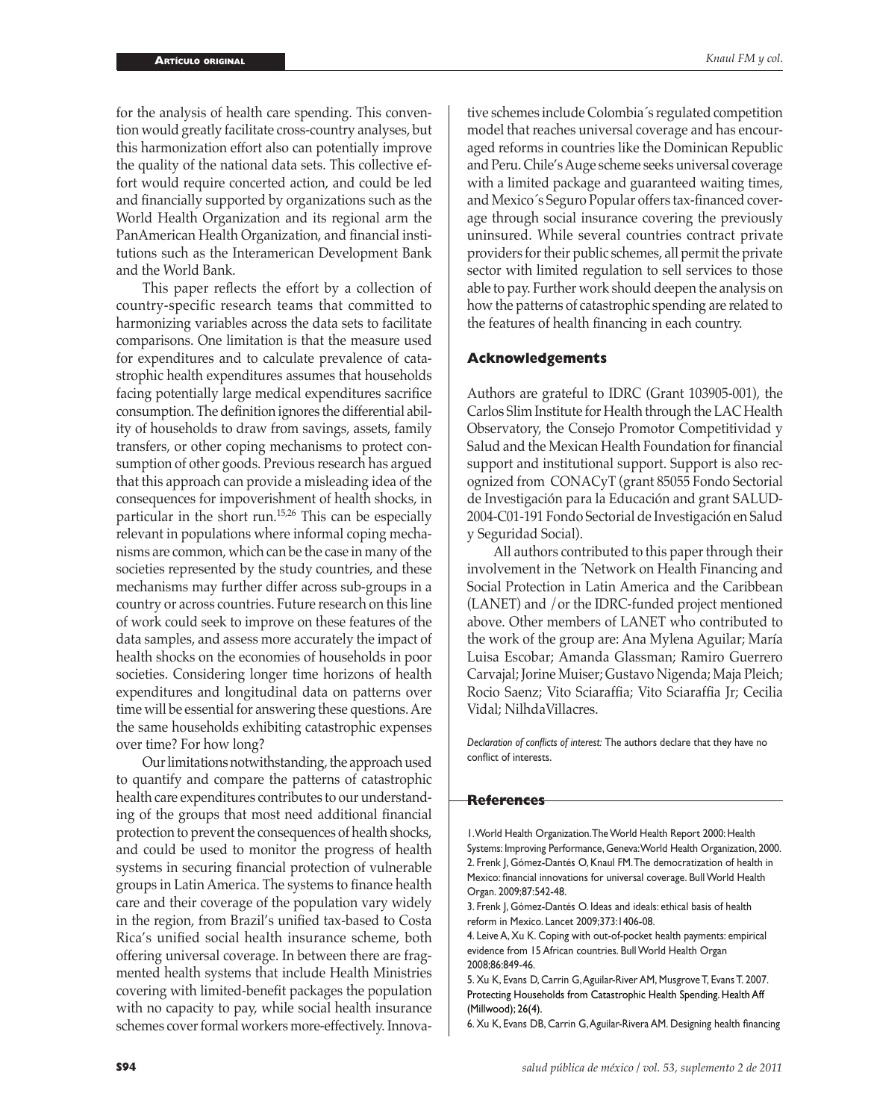for the analysis of health care spending. This convention would greatly facilitate cross-country analyses, but this harmonization effort also can potentially improve the quality of the national data sets. This collective effort would require concerted action, and could be led and financially supported by organizations such as the World Health Organization and its regional arm the PanAmerican Health Organization, and financial institutions such as the Interamerican Development Bank and the World Bank.

This paper reflects the effort by a collection of country-specific research teams that committed to harmonizing variables across the data sets to facilitate comparisons. One limitation is that the measure used for expenditures and to calculate prevalence of catastrophic health expenditures assumes that households facing potentially large medical expenditures sacrifice consumption. The definition ignores the differential ability of households to draw from savings, assets, family transfers, or other coping mechanisms to protect consumption of other goods. Previous research has argued that this approach can provide a misleading idea of the consequences for impoverishment of health shocks, in particular in the short run.15,26 This can be especially relevant in populations where informal coping mechanisms are common, which can be the case in many of the societies represented by the study countries, and these mechanisms may further differ across sub-groups in a country or across countries. Future research on this line of work could seek to improve on these features of the data samples, and assess more accurately the impact of health shocks on the economies of households in poor societies. Considering longer time horizons of health expenditures and longitudinal data on patterns over time will be essential for answering these questions. Are the same households exhibiting catastrophic expenses over time? For how long?

Our limitations notwithstanding, the approach used to quantify and compare the patterns of catastrophic health care expenditures contributes to our understanding of the groups that most need additional financial protection to prevent the consequences of health shocks, and could be used to monitor the progress of health systems in securing financial protection of vulnerable groups in Latin America. The systems to finance health care and their coverage of the population vary widely in the region, from Brazil's unified tax-based to Costa Rica's unified social health insurance scheme, both offering universal coverage. In between there are fragmented health systems that include Health Ministries covering with limited-benefit packages the population with no capacity to pay, while social health insurance schemes cover formal workers more-effectively. Innova-

tive schemes include Colombia´s regulated competition model that reaches universal coverage and has encouraged reforms in countries like the Dominican Republic and Peru. Chile's Auge scheme seeks universal coverage with a limited package and guaranteed waiting times, and Mexico´s Seguro Popular offers tax-financed coverage through social insurance covering the previously uninsured. While several countries contract private providers for their public schemes, all permit the private sector with limited regulation to sell services to those able to pay. Further work should deepen the analysis on how the patterns of catastrophic spending are related to the features of health financing in each country.

### **Acknowledgements**

Authors are grateful to IDRC (Grant 103905-001), the Carlos Slim Institute for Health through the LAC Health Observatory, the Consejo Promotor Competitividad y Salud and the Mexican Health Foundation for financial support and institutional support. Support is also recognized from CONACyT (grant 85055 Fondo Sectorial de Investigación para la Educación and grant SALUD-2004-C01-191 Fondo Sectorial de Investigación en Salud y Seguridad Social).

All authors contributed to this paper through their involvement in the ´Network on Health Financing and Social Protection in Latin America and the Caribbean (LANET) and /or the IDRC-funded project mentioned above. Other members of LANET who contributed to the work of the group are: Ana Mylena Aguilar; María Luisa Escobar; Amanda Glassman; Ramiro Guerrero Carvajal; Jorine Muiser; Gustavo Nigenda; Maja Pleich; Rocio Saenz; Vito Sciaraffia; Vito Sciaraffia Jr; Cecilia Vidal; NilhdaVillacres.

*Declaration of conflicts of interest:* The authors declare that they have no conflict of interests.

### **References**

1. World Health Organization. The World Health Report 2000: Health Systems: Improving Performance, Geneva: World Health Organization, 2000. 2. Frenk J, Gómez-Dantés O, Knaul FM. The democratization of health in Mexico: financial innovations for universal coverage. Bull World Health Organ. 2009;87:542-48.

3. Frenk J, Gómez-Dantés O. Ideas and ideals: ethical basis of health reform in Mexico. Lancet 2009;373:1406-08.

4. Leive A, Xu K. Coping with out-of-pocket health payments: empirical evidence from 15 African countries. Bull World Health Organ 2008;86:849-46.

5. Xu K, Evans D, Carrin G, Aguilar-River AM, Musgrove T, Evans T. 2007. Protecting Households from Catastrophic Health Spending. Health Aff (Millwood); 26(4).

6. Xu K, Evans DB, Carrin G, Aguilar-Rivera AM. Designing health financing